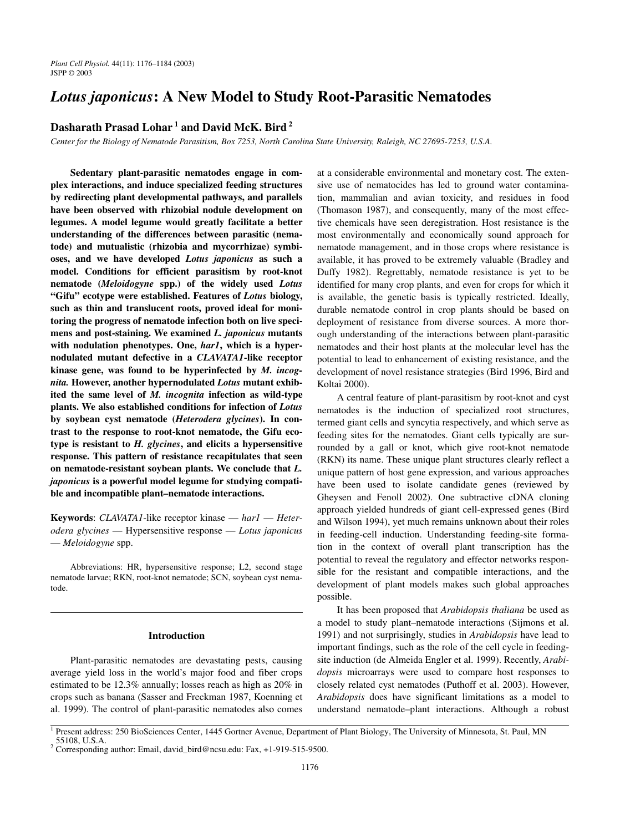*Plant Cell Physiol.* 44(11): 1176–1184 (2003) JSPP © 2003

# *Lotus japonicus***: A New Model to Study Root-Parasitic Nematodes**

**Dasharath Prasad Lohar 1 and David McK. Bird 2**

*Center for the Biology of Nematode Parasitism, Box 7253, North Carolina State University, Raleigh, NC 27695-7253, U.S.A.*

**Sedentary plant-parasitic nematodes engage in complex interactions, and induce specialized feeding structures by redirecting plant developmental pathways, and parallels have been observed with rhizobial nodule development on legumes. A model legume would greatly facilitate a better understanding of the differences between parasitic (nematode) and mutualistic (rhizobia and mycorrhizae) symbioses, and we have developed** *Lotus japonicus* **as such a model. Conditions for efficient parasitism by root-knot nematode (***Meloidogyne* **spp.) of the widely used** *Lotus* **"Gifu" ecotype were established. Features of** *Lotus* **biology, such as thin and translucent roots, proved ideal for monitoring the progress of nematode infection both on live specimens and post-staining. We examined** *L. japonicus* **mutants with nodulation phenotypes. One,** *har1***, which is a hypernodulated mutant defective in a** *CLAVATA1***-like receptor kinase gene, was found to be hyperinfected by** *M. incognita.* **However, another hypernodulated** *Lotus* **mutant exhibited the same level of** *M. incognita* **infection as wild-type plants. We also established conditions for infection of** *Lotus* **by soybean cyst nematode (***Heterodera glycines***). In contrast to the response to root-knot nematode, the Gifu ecotype is resistant to** *H. glycines***, and elicits a hypersensitive response. This pattern of resistance recapitulates that seen on nematode-resistant soybean plants. We conclude that** *L. japonicus* **is a powerful model legume for studying compatible and incompatible plant–nematode interactions.**

**Keywords**: *CLAVATA1*-like receptor kinase — *har1* — *Heterodera glycines* — Hypersensitive response — *Lotus japonicus* — *Meloidogyne* spp.

Abbreviations: HR, hypersensitive response; L2, second stage nematode larvae; RKN, root-knot nematode; SCN, soybean cyst nematode.

## **Introduction**

Plant-parasitic nematodes are devastating pests, causing average yield loss in the world's major food and fiber crops estimated to be 12.3% annually; losses reach as high as 20% in crops such as banana ([Sasser and Freckman 1987,](#page-8-0) [Koenning et](#page-8-1) [al. 1999\)](#page-8-1). The control of plant-parasitic nematodes also comes

at a considerable environmental and monetary cost. The extensive use of nematocides has led to ground water contamination, mammalian and avian toxicity, and residues in food ([Thomason 1987](#page-8-2)), and consequently, many of the most effective chemicals have seen deregistration. Host resistance is the most environmentally and economically sound approach for nematode management, and in those crops where resistance is available, it has proved to be extremely valuable ([Bradley and](#page-7-0) [Duffy 1982](#page-7-0)). Regrettably, nematode resistance is yet to be identified for many crop plants, and even for crops for which it is available, the genetic basis is typically restricted. Ideally, durable nematode control in crop plants should be based on deployment of resistance from diverse sources. A more thorough understanding of the interactions between plant-parasitic nematodes and their host plants at the molecular level has the potential to lead to enhancement of existing resistance, and the development of novel resistance strategies ([Bird 1996,](#page-7-1) [Bird and](#page-7-3) [Koltai 2000](#page-7-3)).

A central feature of plant-parasitism by root-knot and cyst nematodes is the induction of specialized root structures, termed giant cells and syncytia respectively, and which serve as feeding sites for the nematodes. Giant cells typically are surrounded by a gall or knot, which give root-knot nematode (RKN) its name. These unique plant structures clearly reflect a unique pattern of host gene expression, and various approaches have been used to isolate candidate genes (reviewed by [Gheysen and Fenoll 2002](#page-8-3)). One subtractive cDNA cloning approach yielded hundreds of giant cell-expressed genes ([Bird](#page-7-2) [and Wilson 1994](#page-7-2)), yet much remains unknown about their roles in feeding-cell induction. Understanding feeding-site formation in the context of overall plant transcription has the potential to reveal the regulatory and effector networks responsible for the resistant and compatible interactions, and the development of plant models makes such global approaches possible.

It has been proposed that *Arabidopsis thaliana* be used as a model to study plant–nematode interactions ([Sijmons et al.](#page-8-4) [1991\)](#page-8-4) and not surprisingly, studies in *Arabidopsis* have lead to important findings, such as the role of the cell cycle in feedingsite induction ([de Almeida Engler et al. 1999](#page-8-5)). Recently, *Arabidopsis* microarrays were used to compare host responses to closely related cyst nematodes [\(Puthoff et al. 2003\)](#page-8-6). However, *Arabidopsis* does have significant limitations as a model to understand nematode–plant interactions. Although a robust

<sup>&</sup>lt;sup>1</sup> Present address: 250 BioSciences Center, 1445 Gortner Avenue, Department of Plant Biology, The University of Minnesota, St. Paul, MN 55108, U.S.A.

<sup>2</sup> Corresponding author: Email, david\_bird@ncsu.edu: Fax, +1-919-515-9500.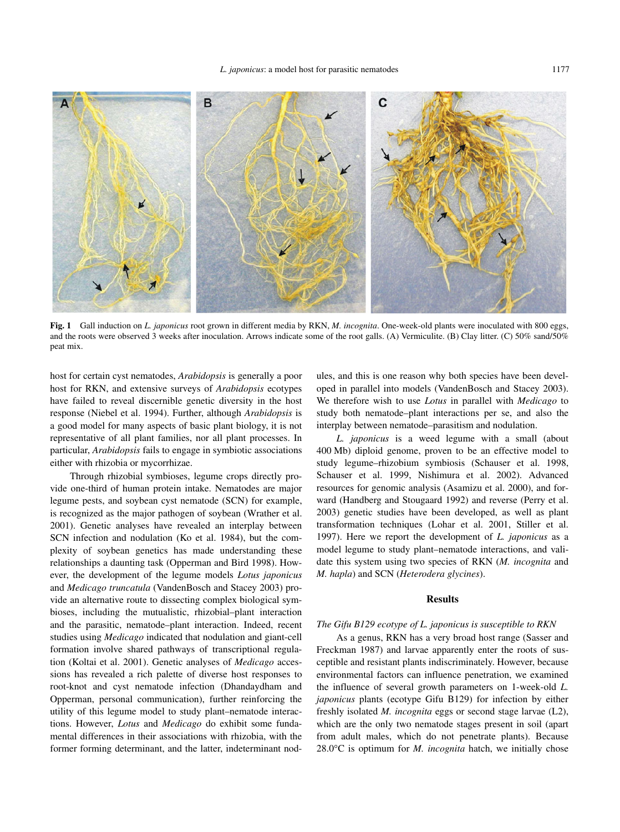

**Fig. 1** Gall induction on *L. japonicus* root grown in different media by RKN, *M. incognita*. One-week-old plants were inoculated with 800 eggs, and the roots were observed 3 weeks after inoculation. Arrows indicate some of the root galls. (A) Vermiculite. (B) Clay litter. (C) 50% sand/50% peat mix.

host for certain cyst nematodes, *Arabidopsis* is generally a poor host for RKN, and extensive surveys of *Arabidopsis* ecotypes have failed to reveal discernible genetic diversity in the host response ([Niebel et al. 1994](#page-8-7)). Further, although *Arabidopsis* is a good model for many aspects of basic plant biology, it is not representative of all plant families, nor all plant processes. In particular, *Arabidopsis* fails to engage in symbiotic associations either with rhizobia or mycorrhizae.

Through rhizobial symbioses, legume crops directly provide one-third of human protein intake. Nematodes are major legume pests, and soybean cyst nematode (SCN) for example, is recognized as the major pathogen of soybean [\(Wrather et al.](#page-8-8) [2001](#page-8-8)). Genetic analyses have revealed an interplay between SCN infection and nodulation ([Ko et al. 1984](#page-8-9)), but the complexity of soybean genetics has made understanding these relationships a daunting task ([Opperman and Bird 1998\)](#page-8-10). However, the development of the legume models *Lotus japonicus* and *Medicago truncatula* [\(VandenBosch and Stacey 2003\)](#page-8-11) provide an alternative route to dissecting complex biological symbioses, including the mutualistic, rhizobial–plant interaction and the parasitic, nematode–plant interaction. Indeed, recent studies using *Medicago* indicated that nodulation and giant-cell formation involve shared pathways of transcriptional regulation [\(Koltai et al. 2001](#page-8-12)). Genetic analyses of *Medicago* accessions has revealed a rich palette of diverse host responses to root-knot and cyst nematode infection (Dhandaydham and Opperman, personal communication), further reinforcing the utility of this legume model to study plant–nematode interactions. However, *Lotus* and *Medicago* do exhibit some fundamental differences in their associations with rhizobia, with the former forming determinant, and the latter, indeterminant nodules, and this is one reason why both species have been developed in parallel into models ([VandenBosch and Stacey 2003\)](#page-8-11). We therefore wish to use *Lotus* in parallel with *Medicago* to study both nematode–plant interactions per se, and also the interplay between nematode–parasitism and nodulation.

*L. japonicus* is a weed legume with a small (about 400 Mb) diploid genome, proven to be an effective model to study legume–rhizobium symbiosis ([Schauser et al. 1998,](#page-8-13) [Schauser et al. 1999,](#page-8-14) [Nishimura et al. 2002\)](#page-8-15). Advanced resources for genomic analysis [\(Asamizu et al. 2000\)](#page-7-4), and forward [\(Handberg and Stougaard 1992\)](#page-8-16) and reverse [\(Perry et al.](#page-8-17) [2003](#page-8-17)) genetic studies have been developed, as well as plant transformation techniques ([Lohar et al. 2001](#page-8-18), [Stiller et al.](#page-8-19) [1997](#page-8-19)). Here we report the development of *L. japonicus* as a model legume to study plant–nematode interactions, and validate this system using two species of RKN (*M. incognita* and *M. hapla*) and SCN (*Heterodera glycines*).

#### **Results**

#### *The Gifu B129 ecotype of L. japonicus is susceptible to RKN*

As a genus, RKN has a very broad host range [\(Sasser and](#page-8-0) [Freckman 1987\)](#page-8-0) and larvae apparently enter the roots of susceptible and resistant plants indiscriminately. However, because environmental factors can influence penetration, we examined the influence of several growth parameters on 1-week-old *L. japonicus* plants (ecotype Gifu B129) for infection by either freshly isolated *M. incognita* eggs or second stage larvae (L2), which are the only two nematode stages present in soil (apart from adult males, which do not penetrate plants). Because 28.0°C is optimum for *M. incognita* hatch, we initially chose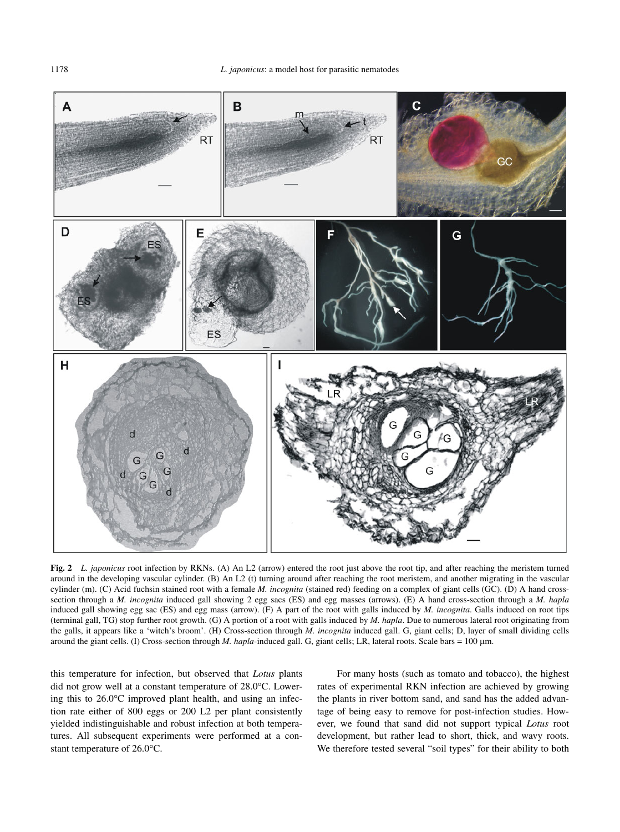

**Fig. 2** *L. japonicus* root infection by RKNs. (A) An L2 (arrow) entered the root just above the root tip, and after reaching the meristem turned around in the developing vascular cylinder. (B) An L2 (t) turning around after reaching the root meristem, and another migrating in the vascular cylinder (m). (C) Acid fuchsin stained root with a female *M. incognita* (stained red) feeding on a complex of giant cells (GC). (D) A hand crosssection through a *M. incognita* induced gall showing 2 egg sacs (ES) and egg masses (arrows). (E) A hand cross-section through a *M. hapla* induced gall showing egg sac (ES) and egg mass (arrow). (F) A part of the root with galls induced by *M. incognita*. Galls induced on root tips (terminal gall, TG) stop further root growth. (G) A portion of a root with galls induced by *M. hapla*. Due to numerous lateral root originating from the galls, it appears like a 'witch's broom'. (H) Cross-section through *M. incognita* induced gall. G, giant cells; D, layer of small dividing cells around the giant cells. (I) Cross-section through *M. hapla*-induced gall. G, giant cells; LR, lateral roots. Scale bars = 100 µm.

this temperature for infection, but observed that *Lotus* plants did not grow well at a constant temperature of 28.0°C. Lowering this to 26.0°C improved plant health, and using an infection rate either of 800 eggs or 200 L2 per plant consistently yielded indistinguishable and robust infection at both temperatures. All subsequent experiments were performed at a constant temperature of 26.0°C.

For many hosts (such as tomato and tobacco), the highest rates of experimental RKN infection are achieved by growing the plants in river bottom sand, and sand has the added advantage of being easy to remove for post-infection studies. However, we found that sand did not support typical *Lotus* root development, but rather lead to short, thick, and wavy roots. We therefore tested several "soil types" for their ability to both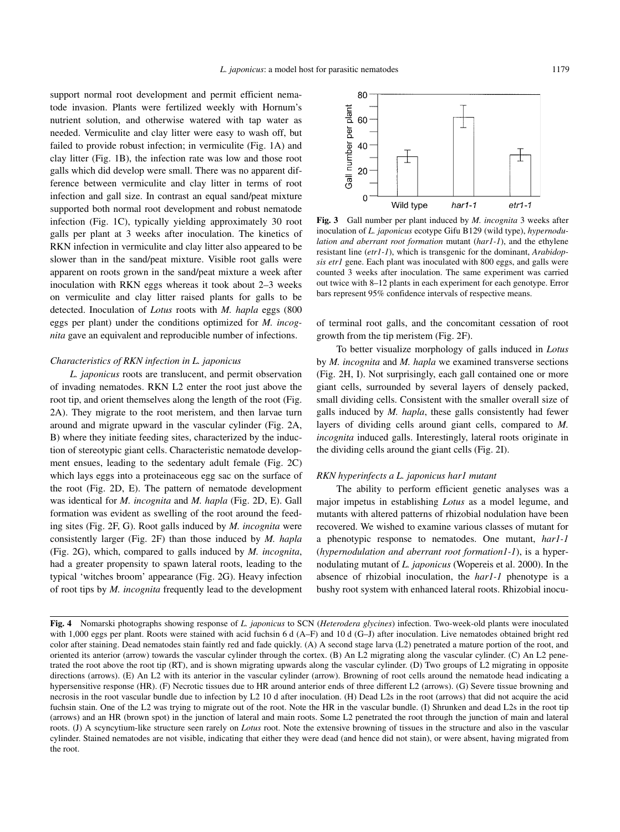support normal root development and permit efficient nematode invasion. Plants were fertilized weekly with Hornum's nutrient solution, and otherwise watered with tap water as needed. Vermiculite and clay litter were easy to wash off, but failed to provide robust infection; in vermiculite (Fig. [1](#page-8-21)A) and clay litter (Fig. [1B](#page-8-21)), the infection rate was low and those root galls which did develop were small. There was no apparent difference between vermiculite and clay litter in terms of root infection and gall size. In contrast an equal sand/peat mixture supported both normal root development and robust nematode infection (Fig. [1](#page-8-21)C), typically yielding approximately 30 root galls per plant at 3 weeks after inoculation. The kinetics of RKN infection in vermiculite and clay litter also appeared to be slower than in the sand/peat mixture. Visible root galls were apparent on roots grown in the sand/peat mixture a week after inoculation with RKN eggs whereas it took about 2–3 weeks on vermiculite and clay litter raised plants for galls to be detected. Inoculation of *Lotus* roots with *M. hapla* eggs (800 eggs per plant) under the conditions optimized for *M. incognita* gave an equivalent and reproducible number of infections.

## *Characteristics of RKN infection in L. japonicus*

*L. japonicus* roots are translucent, and permit observation of invading nematodes. RKN L2 enter the root just above the root tip, and orient themselves along the length of the root (Fig. [2A](#page-8-21)). They migrate to the root meristem, and then larvae turn around and migrate upward in the vascular cylinder (Fig. [2A](#page-8-21), B) where they initiate feeding sites, characterized by the induction of stereotypic giant cells. Characteristic nematode development ensues, leading to the sedentary adult female (Fig. [2C](#page-8-21)) which lays eggs into a proteinaceous egg sac on the surface of the root (Fig. [2](#page-8-21)D, E). The pattern of nematode development was identical for *M. incognita* and *M. hapla* (Fig. [2](#page-8-21)D, E). Gall formation was evident as swelling of the root around the feeding sites (Fig. [2](#page-8-21)F, G). Root galls induced by *M. incognita* were consistently larger (Fig. [2](#page-8-21)F) than those induced by *M. hapla* (Fig. [2](#page-8-21)G), which, compared to galls induced by *M. incognita*, had a greater propensity to spawn lateral roots, leading to the typical 'witches broom' appearance (Fig. [2G](#page-8-21)). Heavy infection of root tips by *M. incognita* frequently lead to the development



**Fig. 3** Gall number per plant induced by *M. incognita* 3 weeks after inoculation of *L. japonicus* ecotype Gifu B129 (wild type), *hypernodulation and aberrant root formation* mutant (*har1-1*), and the ethylene resistant line (*etr1-1*), which is transgenic for the dominant, *Arabidopsis etr1* gene. Each plant was inoculated with 800 eggs, and galls were counted 3 weeks after inoculation. The same experiment was carried out twice with 8–12 plants in each experiment for each genotype. Error bars represent 95% confidence intervals of respective means.

of terminal root galls, and the concomitant cessation of root growth from the tip meristem (Fig. [2](#page-8-21)F).

To better visualize morphology of galls induced in *Lotus* by *M. incognita* and *M. hapla* we examined transverse sections (Fig. [2](#page-8-21)H, I). Not surprisingly, each gall contained one or more giant cells, surrounded by several layers of densely packed, small dividing cells. Consistent with the smaller overall size of galls induced by *M. hapla*, these galls consistently had fewer layers of dividing cells around giant cells, compared to *M. incognita* induced galls. Interestingly, lateral roots originate in the dividing cells around the giant cells (Fig. [2I](#page-8-21)).

## *RKN hyperinfects a L. japonicus har1 mutant*

The ability to perform efficient genetic analyses was a major impetus in establishing *Lotus* as a model legume, and mutants with altered patterns of rhizobial nodulation have been recovered. We wished to examine various classes of mutant for a phenotypic response to nematodes. One mutant, *har1-1* (*hypernodulation and aberrant root formation1-1*), is a hypernodulating mutant of *L. japonicus* ([Wopereis et al. 2000](#page-8-20)). In the absence of rhizobial inoculation, the *har1-1* phenotype is a bushy root system with enhanced lateral roots. Rhizobial inocu-

**Fig. 4** Nomarski photographs showing response of *L. japonicus* to SCN (*Heterodera glycines*) infection. Two-week-old plants were inoculated with 1,000 eggs per plant. Roots were stained with acid fuchsin 6 d (A–F) and 10 d (G–J) after inoculation. Live nematodes obtained bright red color after staining. Dead nematodes stain faintly red and fade quickly. (A) A second stage larva (L2) penetrated a mature portion of the root, and oriented its anterior (arrow) towards the vascular cylinder through the cortex. (B) An L2 migrating along the vascular cylinder. (C) An L2 penetrated the root above the root tip (RT), and is shown migrating upwards along the vascular cylinder. (D) Two groups of L2 migrating in opposite directions (arrows). (E) An L2 with its anterior in the vascular cylinder (arrow). Browning of root cells around the nematode head indicating a hypersensitive response (HR). (F) Necrotic tissues due to HR around anterior ends of three different L2 (arrows). (G) Severe tissue browning and necrosis in the root vascular bundle due to infection by L2 10 d after inoculation. (H) Dead L2s in the root (arrows) that did not acquire the acid fuchsin stain. One of the L2 was trying to migrate out of the root. Note the HR in the vascular bundle. (I) Shrunken and dead L2s in the root tip (arrows) and an HR (brown spot) in the junction of lateral and main roots. Some L2 penetrated the root through the junction of main and lateral roots. (J) A scyncytium-like structure seen rarely on *Lotus* root. Note the extensive browning of tissues in the structure and also in the vascular cylinder. Stained nematodes are not visible, indicating that either they were dead (and hence did not stain), or were absent, having migrated from the root.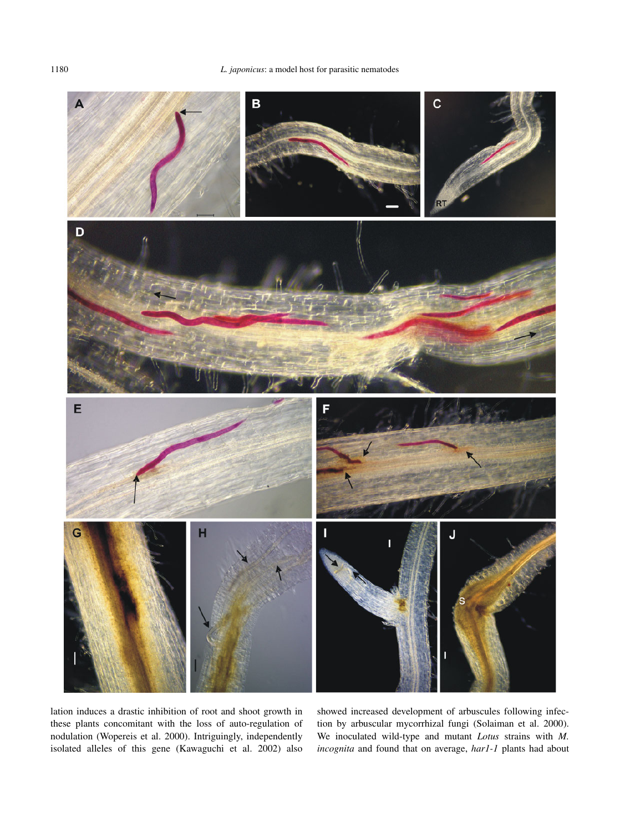

lation induces a drastic inhibition of root and shoot growth in these plants concomitant with the loss of auto-regulation of nodulation ([Wopereis et al. 2000](#page-8-20)). Intriguingly, independently isolated alleles of this gene [\(Kawaguchi et al. 2002\)](#page-8-22) also

showed increased development of arbuscules following infection by arbuscular mycorrhizal fungi ([Solaiman et al. 2000](#page-8-23)). We inoculated wild-type and mutant *Lotus* strains with *M. incognita* and found that on average, *har1-1* plants had about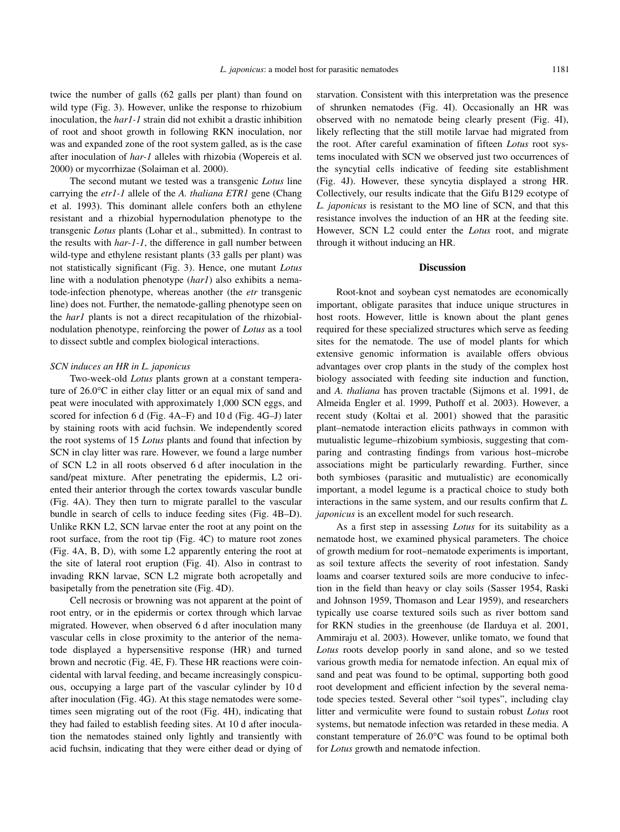twice the number of galls (62 galls per plant) than found on wild type (Fig. [3](#page-8-21)). However, unlike the response to rhizobium inoculation, the *har1-1* strain did not exhibit a drastic inhibition of root and shoot growth in following RKN inoculation, nor was and expanded zone of the root system galled, as is the case after inoculation of *har-1* alleles with rhizobia ([Wopereis et al.](#page-8-20) [2000](#page-8-20)) or mycorrhizae ([Solaiman et al. 2000\)](#page-8-23).

The second mutant we tested was a transgenic *Lotus* line carrying the *etr1-1* allele of the *A. thaliana ETR1* gene [\(Chang](#page-8-24) [et al. 1993\)](#page-8-24). This dominant allele confers both an ethylene resistant and a rhizobial hypernodulation phenotype to the transgenic *Lotus* plants (Lohar et al., submitted). In contrast to the results with *har-1-1*, the difference in gall number between wild-type and ethylene resistant plants (33 galls per plant) was not statistically significant (Fig. [3\)](#page-8-21). Hence, one mutant *Lotus* line with a nodulation phenotype (*har1*) also exhibits a nematode-infection phenotype, whereas another (the *etr* transgenic line) does not. Further, the nematode-galling phenotype seen on the *har1* plants is not a direct recapitulation of the rhizobialnodulation phenotype, reinforcing the power of *Lotus* as a tool to dissect subtle and complex biological interactions.

## *SCN induces an HR in L. japonicus*

Two-week-old *Lotus* plants grown at a constant temperature of 26.0°C in either clay litter or an equal mix of sand and peat were inoculated with approximately 1,000 SCN eggs, and scored for infection 6 d (Fig. [4A](#page-8-21)–F) and 10 d (Fig. [4G](#page-8-21)–J) later by staining roots with acid fuchsin. We independently scored the root systems of 15 *Lotus* plants and found that infection by SCN in clay litter was rare. However, we found a large number of SCN L2 in all roots observed 6 d after inoculation in the sand/peat mixture. After penetrating the epidermis, L2 oriented their anterior through the cortex towards vascular bundle (Fig. [4](#page-8-21)A). They then turn to migrate parallel to the vascular bundle in search of cells to induce feeding sites (Fig. [4B](#page-8-21)–D). Unlike RKN L2, SCN larvae enter the root at any point on the root surface, from the root tip (Fig. [4C](#page-8-21)) to mature root zones (Fig. [4](#page-8-21)A, B, D), with some L2 apparently entering the root at the site of lateral root eruption (Fig. [4I](#page-8-21)). Also in contrast to invading RKN larvae, SCN L2 migrate both acropetally and basipetally from the penetration site (Fig. [4](#page-8-21)D).

Cell necrosis or browning was not apparent at the point of root entry, or in the epidermis or cortex through which larvae migrated. However, when observed 6 d after inoculation many vascular cells in close proximity to the anterior of the nematode displayed a hypersensitive response (HR) and turned brown and necrotic (Fig. [4E](#page-8-21), F). These HR reactions were coincidental with larval feeding, and became increasingly conspicuous, occupying a large part of the vascular cylinder by 10 d after inoculation (Fig. [4](#page-8-21)G). At this stage nematodes were sometimes seen migrating out of the root (Fig. [4H](#page-8-21)), indicating that they had failed to establish feeding sites. At 10 d after inoculation the nematodes stained only lightly and transiently with acid fuchsin, indicating that they were either dead or dying of starvation. Consistent with this interpretation was the presence of shrunken nematodes (Fig. [4I](#page-8-21)). Occasionally an HR was observed with no nematode being clearly present (Fig. [4](#page-8-21)I), likely reflecting that the still motile larvae had migrated from the root. After careful examination of fifteen *Lotus* root systems inoculated with SCN we observed just two occurrences of the syncytial cells indicative of feeding site establishment (Fig. [4](#page-8-21)J). However, these syncytia displayed a strong HR. Collectively, our results indicate that the Gifu B129 ecotype of *L. japonicus* is resistant to the MO line of SCN, and that this resistance involves the induction of an HR at the feeding site. However, SCN L2 could enter the *Lotus* root, and migrate through it without inducing an HR.

## **Discussion**

Root-knot and soybean cyst nematodes are economically important, obligate parasites that induce unique structures in host roots. However, little is known about the plant genes required for these specialized structures which serve as feeding sites for the nematode. The use of model plants for which extensive genomic information is available offers obvious advantages over crop plants in the study of the complex host biology associated with feeding site induction and function, and *A. thaliana* has proven tractable [\(Sijmons et al. 1991](#page-8-4), [de](#page-8-5) [Almeida Engler et al. 1999](#page-8-5), [Puthoff et al. 2003\)](#page-8-6). However, a recent study [\(Koltai et al. 2001](#page-8-12)) showed that the parasitic plant–nematode interaction elicits pathways in common with mutualistic legume–rhizobium symbiosis, suggesting that comparing and contrasting findings from various host–microbe associations might be particularly rewarding. Further, since both symbioses (parasitic and mutualistic) are economically important, a model legume is a practical choice to study both interactions in the same system, and our results confirm that *L. japonicus* is an excellent model for such research.

As a first step in assessing *Lotus* for its suitability as a nematode host, we examined physical parameters. The choice of growth medium for root–nematode experiments is important, as soil texture affects the severity of root infestation. Sandy loams and coarser textured soils are more conducive to infection in the field than heavy or clay soils [\(Sasser 1954](#page-8-25), [Raski](#page-8-26) [and Johnson 1959,](#page-8-26) [Thomason and Lear 1959](#page-8-27)), and researchers typically use coarse textured soils such as river bottom sand for RKN studies in the greenhouse ([de Ilarduya et al. 2001,](#page-8-28) [Ammiraju et al. 2003](#page-7-5)). However, unlike tomato, we found that *Lotus* roots develop poorly in sand alone, and so we tested various growth media for nematode infection. An equal mix of sand and peat was found to be optimal, supporting both good root development and efficient infection by the several nematode species tested. Several other "soil types", including clay litter and vermiculite were found to sustain robust *Lotus* root systems, but nematode infection was retarded in these media. A constant temperature of 26.0°C was found to be optimal both for *Lotus* growth and nematode infection.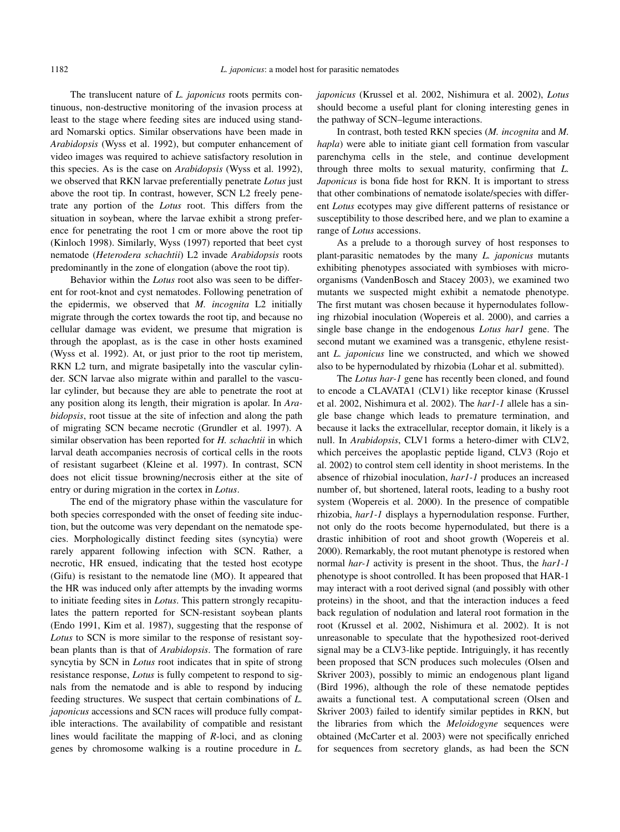The translucent nature of *L. japonicus* roots permits continuous, non-destructive monitoring of the invasion process at least to the stage where feeding sites are induced using standard Nomarski optics. Similar observations have been made in *Arabidopsis* ([Wyss et al. 1992](#page-8-29)), but computer enhancement of video images was required to achieve satisfactory resolution in this species. As is the case on *Arabidopsis* [\(Wyss et al. 1992](#page-8-29)), we observed that RKN larvae preferentially penetrate *Lotus* just above the root tip. In contrast, however, SCN L2 freely penetrate any portion of the *Lotus* root. This differs from the situation in soybean, where the larvae exhibit a strong preference for penetrating the root 1 cm or more above the root tip ([Kinloch 1998](#page-8-30)). Similarly, [Wyss \(1997\)](#page-8-31) reported that beet cyst nematode (*Heterodera schachtii*) L2 invade *Arabidopsis* roots predominantly in the zone of elongation (above the root tip).

Behavior within the *Lotus* root also was seen to be different for root-knot and cyst nematodes. Following penetration of the epidermis, we observed that *M. incognita* L2 initially migrate through the cortex towards the root tip, and because no cellular damage was evident, we presume that migration is through the apoplast, as is the case in other hosts examined ([Wyss et al. 1992](#page-8-29)). At, or just prior to the root tip meristem, RKN L2 turn, and migrate basipetally into the vascular cylinder. SCN larvae also migrate within and parallel to the vascular cylinder, but because they are able to penetrate the root at any position along its length, their migration is apolar. In *Arabidopsis*, root tissue at the site of infection and along the path of migrating SCN became necrotic ([Grundler et al. 1997](#page-8-32)). A similar observation has been reported for *H. schachtii* in which larval death accompanies necrosis of cortical cells in the roots of resistant sugarbeet [\(Kleine et al. 1997\)](#page-8-33). In contrast, SCN does not elicit tissue browning/necrosis either at the site of entry or during migration in the cortex in *Lotus*.

The end of the migratory phase within the vasculature for both species corresponded with the onset of feeding site induction, but the outcome was very dependant on the nematode species. Morphologically distinct feeding sites (syncytia) were rarely apparent following infection with SCN. Rather, a necrotic, HR ensued, indicating that the tested host ecotype (Gifu) is resistant to the nematode line (MO). It appeared that the HR was induced only after attempts by the invading worms to initiate feeding sites in *Lotus*. This pattern strongly recapitulates the pattern reported for SCN-resistant soybean plants ([Endo 1991,](#page-8-34) [Kim et al. 1987](#page-8-35)), suggesting that the response of *Lotus* to SCN is more similar to the response of resistant soybean plants than is that of *Arabidopsis*. The formation of rare syncytia by SCN in *Lotus* root indicates that in spite of strong resistance response, *Lotus* is fully competent to respond to signals from the nematode and is able to respond by inducing feeding structures. We suspect that certain combinations of *L. japonicus* accessions and SCN races will produce fully compatible interactions. The availability of compatible and resistant lines would facilitate the mapping of *R*-loci, and as cloning genes by chromosome walking is a routine procedure in *L.*

*japonicus* [\(Krussel et al. 2002,](#page-8-36) [Nishimura et al. 2002](#page-8-15)), *Lotus* should become a useful plant for cloning interesting genes in the pathway of SCN–legume interactions.

In contrast, both tested RKN species (*M. incognita* and *M. hapla*) were able to initiate giant cell formation from vascular parenchyma cells in the stele, and continue development through three molts to sexual maturity, confirming that *L. Japonicus* is bona fide host for RKN. It is important to stress that other combinations of nematode isolate/species with different *Lotus* ecotypes may give different patterns of resistance or susceptibility to those described here, and we plan to examine a range of *Lotus* accessions.

As a prelude to a thorough survey of host responses to plant-parasitic nematodes by the many *L. japonicus* mutants exhibiting phenotypes associated with symbioses with microorganisms ([VandenBosch and Stacey 2003\)](#page-8-11), we examined two mutants we suspected might exhibit a nematode phenotype. The first mutant was chosen because it hypernodulates following rhizobial inoculation ([Wopereis et al. 2000\)](#page-8-20), and carries a single base change in the endogenous *Lotus har1* gene. The second mutant we examined was a transgenic, ethylene resistant *L. japonicus* line we constructed, and which we showed also to be hypernodulated by rhizobia (Lohar et al. submitted).

The *Lotus har-1* gene has recently been cloned, and found to encode a CLAVATA1 (CLV1) like receptor kinase ([Krussel](#page-8-36) [et al. 2002](#page-8-36), [Nishimura et al. 2002\)](#page-8-15). The *har1-1* allele has a single base change which leads to premature termination, and because it lacks the extracellular, receptor domain, it likely is a null. In *Arabidopsis*, CLV1 forms a hetero-dimer with CLV2, which perceives the apoplastic peptide ligand, CLV3 ([Rojo et](#page-8-37) [al. 2002](#page-8-37)) to control stem cell identity in shoot meristems. In the absence of rhizobial inoculation, *har1-1* produces an increased number of, but shortened, lateral roots, leading to a bushy root system ([Wopereis et al. 2000\)](#page-8-20). In the presence of compatible rhizobia, *har1-1* displays a hypernodulation response. Further, not only do the roots become hypernodulated, but there is a drastic inhibition of root and shoot growth ([Wopereis et al.](#page-8-20) [2000\)](#page-8-20). Remarkably, the root mutant phenotype is restored when normal *har-1* activity is present in the shoot. Thus, the *har1-1* phenotype is shoot controlled. It has been proposed that HAR-1 may interact with a root derived signal (and possibly with other proteins) in the shoot, and that the interaction induces a feed back regulation of nodulation and lateral root formation in the root ([Krussel et al. 2002](#page-8-36), [Nishimura et al. 2002\)](#page-8-15). It is not unreasonable to speculate that the hypothesized root-derived signal may be a CLV3-like peptide. Intriguingly, it has recently been proposed that SCN produces such molecules [\(Olsen and](#page-8-38) [Skriver 2003\)](#page-8-38), possibly to mimic an endogenous plant ligand ([Bird 1996\)](#page-7-1), although the role of these nematode peptides awaits a functional test. A computational screen [\(Olsen and](#page-8-38) [Skriver 2003\)](#page-8-38) failed to identify similar peptides in RKN, but the libraries from which the *Meloidogyne* sequences were obtained ([McCarter et al. 2003](#page-8-39)) were not specifically enriched for sequences from secretory glands, as had been the SCN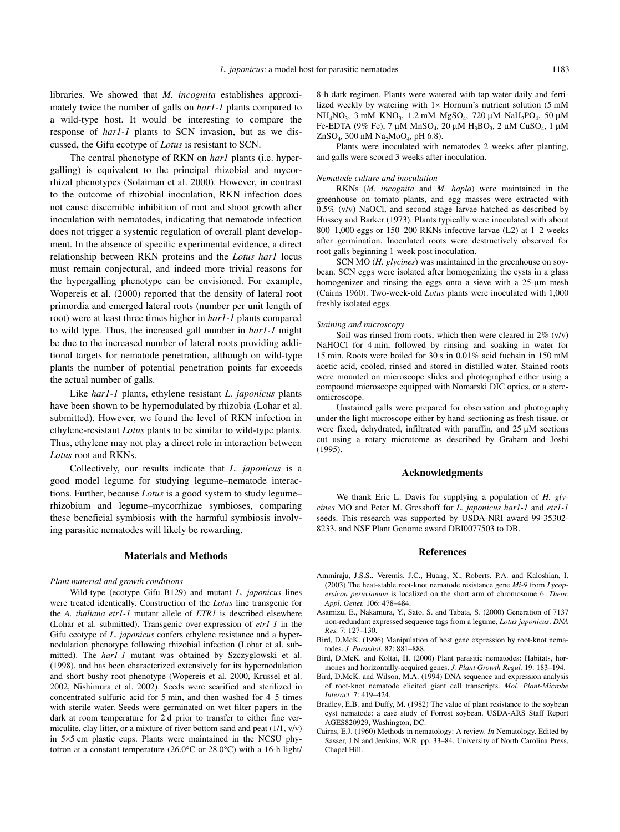libraries. We showed that *M. incognita* establishes approximately twice the number of galls on *har1-1* plants compared to a wild-type host. It would be interesting to compare the response of *har1-1* plants to SCN invasion, but as we discussed, the Gifu ecotype of *Lotus* is resistant to SCN.

The central phenotype of RKN on *har1* plants (i.e. hypergalling) is equivalent to the principal rhizobial and mycorrhizal phenotypes [\(Solaiman et al. 2000](#page-8-23)). However, in contrast to the outcome of rhizobial inoculation, RKN infection does not cause discernible inhibition of root and shoot growth after inoculation with nematodes, indicating that nematode infection does not trigger a systemic regulation of overall plant development. In the absence of specific experimental evidence, a direct relationship between RKN proteins and the *Lotus har1* locus must remain conjectural, and indeed more trivial reasons for the hypergalling phenotype can be envisioned. For example, [Wopereis et al. \(2000\)](#page-8-20) reported that the density of lateral root primordia and emerged lateral roots (number per unit length of root) were at least three times higher in *har1-1* plants compared to wild type. Thus, the increased gall number in *har1-1* might be due to the increased number of lateral roots providing additional targets for nematode penetration, although on wild-type plants the number of potential penetration points far exceeds the actual number of galls.

Like *har1-1* plants, ethylene resistant *L. japonicus* plants have been shown to be hypernodulated by rhizobia (Lohar et al. submitted). However, we found the level of RKN infection in ethylene-resistant *Lotus* plants to be similar to wild-type plants. Thus, ethylene may not play a direct role in interaction between *Lotus* root and RKNs.

Collectively, our results indicate that *L. japonicus* is a good model legume for studying legume–nematode interactions. Further, because *Lotus* is a good system to study legume– rhizobium and legume–mycorrhizae symbioses, comparing these beneficial symbiosis with the harmful symbiosis involving parasitic nematodes will likely be rewarding.

## **Materials and Methods**

#### *Plant material and growth conditions*

Wild-type (ecotype Gifu B129) and mutant *L. japonicus* lines were treated identically. Construction of the *Lotus* line transgenic for the *A. thaliana etr1-1* mutant allele of *ETR1* is described elsewhere (Lohar et al. submitted). Transgenic over-expression of *etr1-1* in the Gifu ecotype of *L. japonicus* confers ethylene resistance and a hypernodulation phenotype following rhizobial infection (Lohar et al. submitted). The *har1-1* mutant was obtained by [Szczyglowski et al.](#page-8-40) [\(1998\),](#page-8-40) and has been characterized extensively for its hypernodulation and short bushy root phenotype [\(Wopereis et al. 2000](#page-8-20), [Krussel et al.](#page-8-36) [2002](#page-8-36), [Nishimura et al. 2002\)](#page-8-15). Seeds were scarified and sterilized in concentrated sulfuric acid for 5 min, and then washed for 4–5 times with sterile water. Seeds were germinated on wet filter papers in the dark at room temperature for 2 d prior to transfer to either fine vermiculite, clay litter, or a mixture of river bottom sand and peat (1/1, v/v) in 5×5 cm plastic cups. Plants were maintained in the NCSU phytotron at a constant temperature (26.0°C or 28.0°C) with a 16-h light/ 8-h dark regimen. Plants were watered with tap water daily and fertilized weekly by watering with  $1 \times$  Hornum's nutrient solution (5 mM  $NH_4NO_3$ , 3 mM KNO<sub>3</sub>, 1.2 mM MgSO<sub>4</sub>, 720 µM NaH<sub>2</sub>PO<sub>4</sub>, 50 µM Fe-EDTA (9% Fe), 7  $\mu$ M MnSO<sub>4</sub>, 20  $\mu$ M H<sub>3</sub>BO<sub>3</sub>, 2  $\mu$ M CuSO<sub>4</sub>, 1  $\mu$ M  $ZnSO_4$ , 300 nM  $Na<sub>2</sub>MoO<sub>4</sub>$ , pH 6.8).

Plants were inoculated with nematodes 2 weeks after planting, and galls were scored 3 weeks after inoculation.

## *Nematode culture and inoculation*

RKNs (*M. incognita* and *M. hapla*) were maintained in the greenhouse on tomato plants, and egg masses were extracted with 0.5% (v/v) NaOCl, and second stage larvae hatched as described by [Hussey and Barker \(1973\).](#page-8-41) Plants typically were inoculated with about 800–1,000 eggs or 150–200 RKNs infective larvae (L2) at 1–2 weeks after germination. Inoculated roots were destructively observed for root galls beginning 1-week post inoculation.

SCN MO (*H. glycines*) was maintained in the greenhouse on soybean. SCN eggs were isolated after homogenizing the cysts in a glass homogenizer and rinsing the eggs onto a sieve with a 25-µm mesh ([Cairns 1960\)](#page-7-6). Two-week-old *Lotus* plants were inoculated with 1,000 freshly isolated eggs.

#### *Staining and microscopy*

Soil was rinsed from roots, which then were cleared in  $2\%$  (v/v) NaHOCl for 4 min, followed by rinsing and soaking in water for 15 min. Roots were boiled for 30 s in 0.01% acid fuchsin in 150 mM acetic acid, cooled, rinsed and stored in distilled water. Stained roots were mounted on microscope slides and photographed either using a compound microscope equipped with Nomarski DIC optics, or a stereomicroscope.

Unstained galls were prepared for observation and photography under the light microscope either by hand-sectioning as fresh tissue, or were fixed, dehydrated, infiltrated with paraffin, and 25 µM sections cut using a rotary microtome as described by [Graham and Joshi](#page-8-42) [\(1995\).](#page-8-42)

#### **Acknowledgments**

We thank Eric L. Davis for supplying a population of *H. glycines* MO and Peter M. Gresshoff for *L. japonicus har1-1* and *etr1-1* seeds. This research was supported by USDA-NRI award 99-35302- 8233, and NSF Plant Genome award DBI0077503 to DB.

## **References**

- <span id="page-7-5"></span>Ammiraju, J.S.S., Veremis, J.C., Huang, X., Roberts, P.A. and Kaloshian, I. (2003) The heat-stable root-knot nematode resistance gene *Mi-9* from *Lycopersicon peruvianum* is localized on the short arm of chromosome 6. *Theor. Appl. Genet.* 106: 478–484.
- <span id="page-7-4"></span>Asamizu, E., Nakamura, Y., Sato, S. and Tabata, S. (2000) Generation of 7137 non-redundant expressed sequence tags from a legume, *Lotus japonicus*. *DNA Res.* 7: 127–130.
- <span id="page-7-1"></span>Bird, D.McK. (1996) Manipulation of host gene expression by root-knot nematodes. *J. Parasitol.* 82: 881–888.
- <span id="page-7-3"></span>Bird, D.McK. and Koltai, H. (2000) Plant parasitic nematodes: Habitats, hormones and horizontally-acquired genes. *J. Plant Growth Regul.* 19: 183–194.
- <span id="page-7-2"></span>Bird, D.McK. and Wilson, M.A. (1994) DNA sequence and expression analysis of root-knot nematode elicited giant cell transcripts. *Mol. Plant-Microbe Interact.* 7: 419–424.
- <span id="page-7-0"></span>Bradley, E.B. and Duffy, M. (1982) The value of plant resistance to the soybean cyst nematode: a case study of Forrest soybean. USDA-ARS Staff Report AGES820929, Washington, DC.
- <span id="page-7-6"></span>Cairns, E.J. (1960) Methods in nematology: A review. *In* Nematology. Edited by Sasser, J.N and Jenkins, W.R. pp. 33–84. University of North Carolina Press, Chapel Hill.